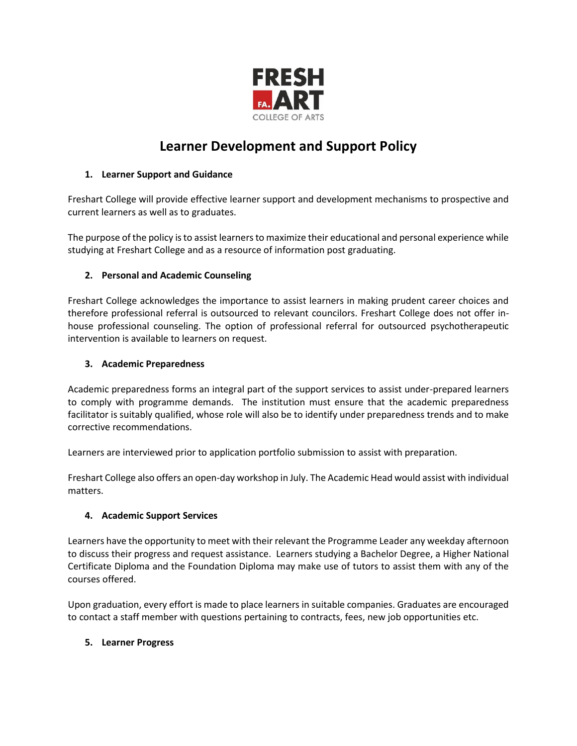

# **Learner Development and Support Policy**

# **1. Learner Support and Guidance**

Freshart College will provide effective learner support and development mechanisms to prospective and current learners as well as to graduates.

The purpose of the policy is to assist learners to maximize their educational and personal experience while studying at Freshart College and as a resource of information post graduating.

# **2. Personal and Academic Counseling**

Freshart College acknowledges the importance to assist learners in making prudent career choices and therefore professional referral is outsourced to relevant councilors. Freshart College does not offer inhouse professional counseling. The option of professional referral for outsourced psychotherapeutic intervention is available to learners on request.

# **3. Academic Preparedness**

Academic preparedness forms an integral part of the support services to assist under-prepared learners to comply with programme demands. The institution must ensure that the academic preparedness facilitator is suitably qualified, whose role will also be to identify under preparedness trends and to make corrective recommendations.

Learners are interviewed prior to application portfolio submission to assist with preparation.

Freshart College also offers an open-day workshop in July. The Academic Head would assist with individual matters.

# **4. Academic Support Services**

Learners have the opportunity to meet with their relevant the Programme Leader any weekday afternoon to discuss their progress and request assistance. Learners studying a Bachelor Degree, a Higher National Certificate Diploma and the Foundation Diploma may make use of tutors to assist them with any of the courses offered.

Upon graduation, every effort is made to place learners in suitable companies. Graduates are encouraged to contact a staff member with questions pertaining to contracts, fees, new job opportunities etc.

#### **5. Learner Progress**